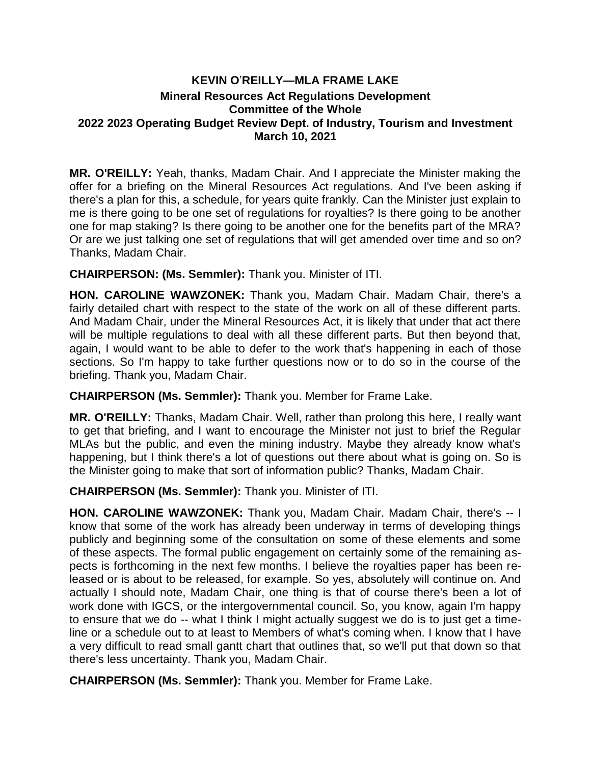## **KEVIN O**'**REILLY—MLA FRAME LAKE Mineral Resources Act Regulations Development Committee of the Whole 2022 2023 Operating Budget Review Dept. of Industry, Tourism and Investment March 10, 2021**

**MR. O'REILLY:** Yeah, thanks, Madam Chair. And I appreciate the Minister making the offer for a briefing on the Mineral Resources Act regulations. And I've been asking if there's a plan for this, a schedule, for years quite frankly. Can the Minister just explain to me is there going to be one set of regulations for royalties? Is there going to be another one for map staking? Is there going to be another one for the benefits part of the MRA? Or are we just talking one set of regulations that will get amended over time and so on? Thanks, Madam Chair.

**CHAIRPERSON: (Ms. Semmler):** Thank you. Minister of ITI.

**HON. CAROLINE WAWZONEK:** Thank you, Madam Chair. Madam Chair, there's a fairly detailed chart with respect to the state of the work on all of these different parts. And Madam Chair, under the Mineral Resources Act, it is likely that under that act there will be multiple regulations to deal with all these different parts. But then beyond that, again, I would want to be able to defer to the work that's happening in each of those sections. So I'm happy to take further questions now or to do so in the course of the briefing. Thank you, Madam Chair.

**CHAIRPERSON (Ms. Semmler):** Thank you. Member for Frame Lake.

**MR. O'REILLY:** Thanks, Madam Chair. Well, rather than prolong this here, I really want to get that briefing, and I want to encourage the Minister not just to brief the Regular MLAs but the public, and even the mining industry. Maybe they already know what's happening, but I think there's a lot of questions out there about what is going on. So is the Minister going to make that sort of information public? Thanks, Madam Chair.

**CHAIRPERSON (Ms. Semmler):** Thank you. Minister of ITI.

**HON. CAROLINE WAWZONEK:** Thank you, Madam Chair. Madam Chair, there's -- I know that some of the work has already been underway in terms of developing things publicly and beginning some of the consultation on some of these elements and some of these aspects. The formal public engagement on certainly some of the remaining aspects is forthcoming in the next few months. I believe the royalties paper has been released or is about to be released, for example. So yes, absolutely will continue on. And actually I should note, Madam Chair, one thing is that of course there's been a lot of work done with IGCS, or the intergovernmental council. So, you know, again I'm happy to ensure that we do -- what I think I might actually suggest we do is to just get a timeline or a schedule out to at least to Members of what's coming when. I know that I have a very difficult to read small gantt chart that outlines that, so we'll put that down so that there's less uncertainty. Thank you, Madam Chair.

**CHAIRPERSON (Ms. Semmler):** Thank you. Member for Frame Lake.